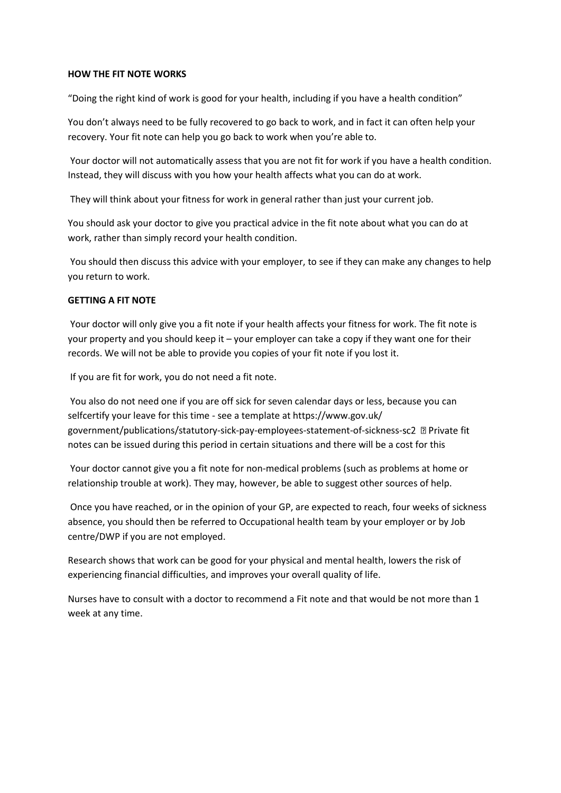## **HOW THE FIT NOTE WORKS**

"Doing the right kind of work is good for your health, including if you have a health condition"

You don't always need to be fully recovered to go back to work, and in fact it can often help your recovery. Your fit note can help you go back to work when you're able to.

Your doctor will not automatically assess that you are not fit for work if you have a health condition. Instead, they will discuss with you how your health affects what you can do at work.

They will think about your fitness for work in general rather than just your current job.

You should ask your doctor to give you practical advice in the fit note about what you can do at work, rather than simply record your health condition.

You should then discuss this advice with your employer, to see if they can make any changes to help you return to work.

## **GETTING A FIT NOTE**

Your doctor will only give you a fit note if your health affects your fitness for work. The fit note is your property and you should keep it – your employer can take a copy if they want one for their records. We will not be able to provide you copies of your fit note if you lost it.

If you are fit for work, you do not need a fit note.

You also do not need one if you are off sick for seven calendar days or less, because you can selfcertify your leave for this time - see a template at https://www.gov.uk/ government/publications/statutory-sick-pay-employees-statement-of-sicknessnotes can be issued during this period in certain situations and there will be a cost for this

Your doctor cannot give you a fit note for non-medical problems (such as problems at home or relationship trouble at work). They may, however, be able to suggest other sources of help.

Once you have reached, or in the opinion of your GP, are expected to reach, four weeks of sickness absence, you should then be referred to Occupational health team by your employer or by Job centre/DWP if you are not employed.

Research shows that work can be good for your physical and mental health, lowers the risk of experiencing financial difficulties, and improves your overall quality of life.

Nurses have to consult with a doctor to recommend a Fit note and that would be not more than 1 week at any time.